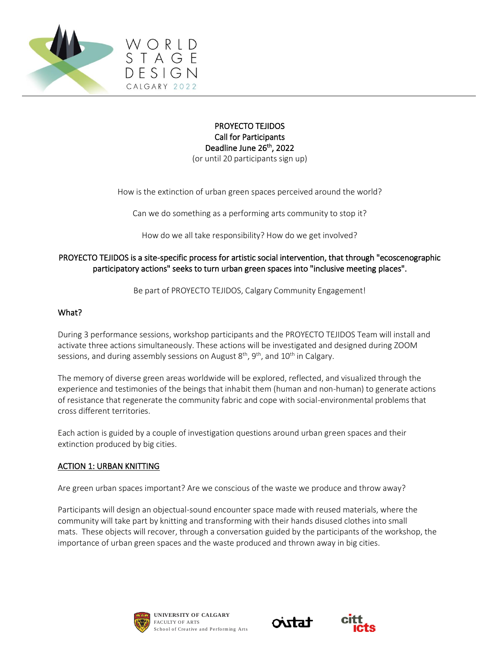

#### PROYECTO TEJIDOS Call for Participants Deadline June 26<sup>th</sup>, 2022 (or until 20 participants sign up)

How is the extinction of urban green spaces perceived around the world?

Can we do something as a performing arts community to stop it?

How do we all take responsibility? How do we get involved?

## PROYECTO TEJIDOS is a site-specific process for artistic social intervention, that through "ecoscenographic participatory actions" seeks to turn urban green spaces into "inclusive meeting places".

Be part of PROYECTO TEJIDOS, Calgary Community Engagement!

#### What?

During 3 performance sessions, workshop participants and the PROYECTO TEJIDOS Team will install and activate three actions simultaneously. These actions will be investigated and designed during ZOOM sessions, and during assembly sessions on August  $8<sup>th</sup>$ ,  $9<sup>th</sup>$ , and  $10<sup>th</sup>$  in Calgary.

The memory of diverse green areas worldwide will be explored, reflected, and visualized through the experience and testimonies of the beings that inhabit them (human and non-human) to generate actions of resistance that regenerate the community fabric and cope with social-environmental problems that cross different territories.

Each action is guided by a couple of investigation questions around urban green spaces and their extinction produced by big cities.

#### ACTION 1: URBAN KNITTING

Are green urban spaces important? Are we conscious of the waste we produce and throw away?

Participants will design an objectual-sound encounter space made with reused materials, where the community will take part by knitting and transforming with their hands disused clothes into small mats. These objects will recover, through a conversation guided by the participants of the workshop, the importance of urban green spaces and the waste produced and thrown away in big cities.





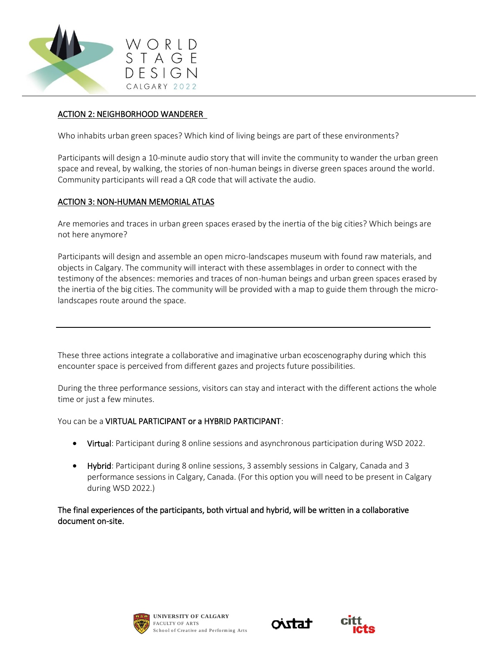

## ACTION 2: NEIGHBORHOOD WANDERER

Who inhabits urban green spaces? Which kind of living beings are part of these environments?

Participants will design a 10-minute audio story that will invite the community to wander the urban green space and reveal, by walking, the stories of non-human beings in diverse green spaces around the world. Community participants will read a QR code that will activate the audio.

# ACTION 3: NON-HUMAN MEMORIAL ATLAS

Are memories and traces in urban green spaces erased by the inertia of the big cities? Which beings are not here anymore?

Participants will design and assemble an open micro-landscapes museum with found raw materials, and objects in Calgary. The community will interact with these assemblages in order to connect with the testimony of the absences: memories and traces of non-human beings and urban green spaces erased by the inertia of the big cities. The community will be provided with a map to guide them through the microlandscapes route around the space.

These three actions integrate a collaborative and imaginative urban ecoscenography during which this encounter space is perceived from different gazes and projects future possibilities.

During the three performance sessions, visitors can stay and interact with the different actions the whole time or just a few minutes.

You can be a VIRTUAL PARTICIPANT or a HYBRID PARTICIPANT:

- Virtual: Participant during 8 online sessions and asynchronous participation during WSD 2022.
- Hybrid: Participant during 8 online sessions, 3 assembly sessions in Calgary, Canada and 3 performance sessions in Calgary, Canada. (For this option you will need to be present in Calgary during WSD 2022.)

The final experiences of the participants, both virtual and hybrid, will be written in a collaborative document on-site.